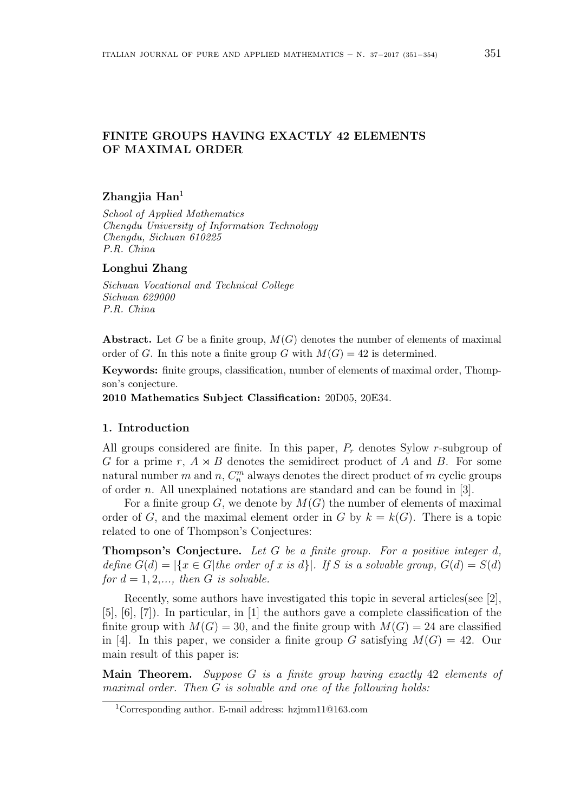# **FINITE GROUPS HAVING EXACTLY 42 ELEMENTS OF MAXIMAL ORDER**

# **Zhangjia Han**<sup>1</sup>

*School of Applied Mathematics Chengdu University of Information Technology Chengdu, Sichuan 610225 P.R. China*

# **Longhui Zhang**

*Sichuan Vocational and Technical College Sichuan 629000 P.R. China*

**Abstract.** Let *G* be a finite group, *M*(*G*) denotes the number of elements of maximal order of *G*. In this note a finite group *G* with  $M(G) = 42$  is determined.

**Keywords:** finite groups, classification, number of elements of maximal order, Thompson's conjecture.

**2010 Mathematics Subject Classification:** 20D05, 20E34.

#### **1. Introduction**

All groups considered are finite. In this paper, *P<sup>r</sup>* denotes Sylow *r*-subgroup of *G* for a prime *r*,  $A \rtimes B$  denotes the semidirect product of  $A$  and  $B$ . For some natural number  $m$  and  $n$ ,  $C_n^m$  always denotes the direct product of  $m$  cyclic groups of order *n*. All unexplained notations are standard and can be found in [3].

For a finite group  $G$ , we denote by  $M(G)$  the number of elements of maximal order of *G*, and the maximal element order in *G* by  $k = k(G)$ . There is a topic related to one of Thompson's Conjectures:

**Thompson's Conjecture.** *Let G be a finite group. For a positive integer d, define*  $G(d) = |\{x \in G | the order of x is d\}|$ *. If S* is a solvable group,  $G(d) = S(d)$ *for*  $d = 1, 2, \ldots$ , then  $G$  *is solvable.* 

Recently, some authors have investigated this topic in several articles(see [2], [5], [6], [7]). In particular, in [1] the authors gave a complete classification of the finite group with  $M(G) = 30$ , and the finite group with  $M(G) = 24$  are classified in [4]. In this paper, we consider a finite group *G* satisfying  $M(G) = 42$ . Our main result of this paper is:

**Main Theorem.** *Suppose G is a finite group having exactly* 42 *elements of maximal order. Then G is solvable and one of the following holds:*

<sup>1</sup>Corresponding author. E-mail address: hzjmm11@163.com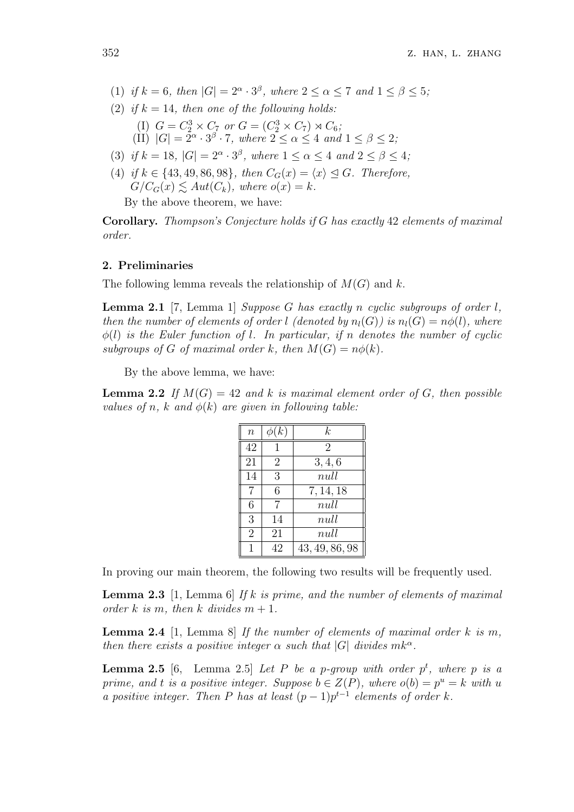- (1) *if*  $k = 6$ *, then*  $|G| = 2^{\alpha} \cdot 3^{\beta}$ *, where*  $2 \le \alpha \le 7$  *and*  $1 \le \beta \le 5$ *;*
- (2) *if*  $k = 14$ *, then one of the following holds:* (I)  $G = C_2^3 \times C_7$  or  $G = (C_2^3 \times C_7) \rtimes C_6$ ;  $\overline{\text{C}}[I] \ |G| = \overline{2}^{\alpha} \cdot 3^{\beta} \cdot 7$ , where  $2 \leq \alpha \leq 4$  and  $1 \leq \beta \leq 2$ ;
- (3) *if*  $k = 18$ ,  $|G| = 2^{\alpha} \cdot 3^{\beta}$ , where  $1 \leq \alpha \leq 4$  and  $2 \leq \beta \leq 4$ ;
- (4) *if*  $k \in \{43, 49, 86, 98\}$ , then  $C_G(x) = \langle x \rangle \leq G$ . Therefore,  $G/C_G(x) \leq Aut(C_k)$ , where  $o(x) = k$ .

By the above theorem, we have:

**Corollary.** *Thompson's Conjecture holds if G has exactly* 42 *elements of maximal order.*

### **2. Preliminaries**

The following lemma reveals the relationship of *M*(*G*) and *k*.

**Lemma 2.1** [7, Lemma 1] *Suppose G has exactly n cyclic subgroups of order l, then the number of elements of order l* (denoted by  $n_l(G)$ ) is  $n_l(G) = n\phi(l)$ , where *ϕ*(*l*) *is the Euler function of l. In particular, if n denotes the number of cyclic subgroups of G of maximal order k, then*  $M(G) = n\phi(k)$ *.* 

By the above lemma, we have:

**Lemma 2.2** *If*  $M(G) = 42$  *and k is maximal element order of G, then possible values of n*, *k* and  $\phi(k)$  are given in following table:

| $\boldsymbol{n}$ | $\phi(k)$      | k.             |
|------------------|----------------|----------------|
| 42               |                | $\overline{2}$ |
| 21               | $\overline{2}$ | 3, 4, 6        |
| 14               | 3              | null           |
| 7                | 6              | 7, 14, 18      |
| 6                | 7              | null           |
| $\overline{3}$   | 14             | null           |
| $\overline{2}$   | 21             | null           |
|                  | 42             | 43, 49, 86, 98 |

In proving our main theorem, the following two results will be frequently used.

**Lemma 2.3** [1, Lemma 6] *If k is prime, and the number of elements of maximal order*  $k$  *is*  $m$ , *then*  $k$  *divides*  $m + 1$ .

**Lemma 2.4** [1, Lemma 8] *If the number of elements of maximal order k is m, then there exists a positive integer*  $\alpha$  *such that*  $|G|$  *divides*  $mk^{\alpha}$ *.* 

**Lemma 2.5** [6, Lemma 2.5] *Let*  $P$  *be a p-group with order*  $p<sup>t</sup>$ , where  $p$  *is a prime, and t is a positive integer. Suppose*  $b \in Z(P)$ *, where*  $o(b) = p^u = k$  *with u a positive integer. Then P has at least*  $(p-1)p^{t-1}$  *elements of order k.*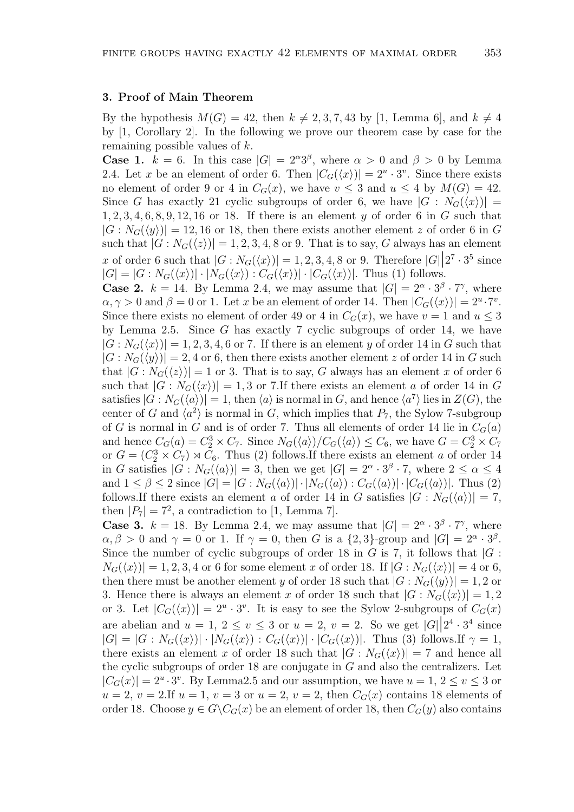### **3. Proof of Main Theorem**

By the hypothesis  $M(G) = 42$ , then  $k \neq 2, 3, 7, 43$  by [1, Lemma 6], and  $k \neq 4$ by [1, Corollary 2]. In the following we prove our theorem case by case for the remaining possible values of *k*.

**Case 1.**  $k = 6$ . In this case  $|G| = 2^{\alpha}3^{\beta}$ , where  $\alpha > 0$  and  $\beta > 0$  by Lemma 2.4. Let *x* be an element of order 6. Then  $|C_G(\langle x \rangle)| = 2^u \cdot 3^v$ . Since there exists no element of order 9 or 4 in  $C_G(x)$ , we have  $v \leq 3$  and  $u \leq 4$  by  $M(G) = 42$ . Since *G* has exactly 21 cyclic subgroups of order 6, we have  $|G : N_G(\langle x \rangle)| =$ 1*,* 2*,* 3*,* 4*,* 6*,* 8*,* 9*,* 12*,* 16 or 18. If there is an element *y* of order 6 in *G* such that  $|G: N_G(\langle y \rangle)| = 12, 16$  or 18, then there exists another element *z* of order 6 in *G* such that  $|G: N_G(\langle z \rangle)| = 1, 2, 3, 4, 8$  or 9. That is to say, *G* always has an element *x* of order 6 such that  $|G : N_G(\langle x \rangle)| = 1, 2, 3, 4, 8$  or 9. Therefore  $|G| |2^7 \cdot 3^5$  since  $|G| = |G:N_G(\langle x \rangle)| \cdot |N_G(\langle x \rangle):C_G(\langle x \rangle)| \cdot |C_G(\langle x \rangle)|$ . Thus (1) follows.

**Case 2.**  $k = 14$ . By Lemma 2.4, we may assume that  $|G| = 2^{\alpha} \cdot 3^{\beta} \cdot 7^{\gamma}$ , where  $\alpha, \gamma > 0$  and  $\beta = 0$  or 1. Let *x* be an element of order 14. Then  $|C_G(\langle x \rangle)| = 2^u \cdot 7^v$ . Since there exists no element of order 49 or 4 in  $C_G(x)$ , we have  $v = 1$  and  $u \leq 3$ by Lemma 2.5. Since *G* has exactly 7 cyclic subgroups of order 14, we have  $|G: N_G(\langle x \rangle)| = 1, 2, 3, 4, 6$  or 7. If there is an element *y* of order 14 in *G* such that  $|G: N_G(\langle y \rangle)| = 2, 4$  or 6, then there exists another element *z* of order 14 in *G* such that  $|G: N_G(\langle z \rangle)| = 1$  or 3. That is to say, G always has an element x of order 6 such that  $|G: N_G(\langle x \rangle)| = 1, 3$  or 7. If there exists an element *a* of order 14 in *G* satisfies  $|G: N_G(\langle a \rangle)| = 1$ , then  $\langle a \rangle$  is normal in *G*, and hence  $\langle a^7 \rangle$  lies in  $Z(G)$ , the center of *G* and  $\langle a^2 \rangle$  is normal in *G*, which implies that  $P_7$ , the Sylow 7-subgroup of *G* is normal in *G* and is of order 7. Thus all elements of order 14 lie in  $C_G(a)$ and hence  $C_G(a) = C_2^3 \times C_7$ . Since  $N_G(\langle a \rangle)/C_G(\langle a \rangle) \leq C_6$ , we have  $G = C_2^3 \times C_7$ or  $G = (C_2^3 \times C_7) \rtimes C_6$ . Thus (2) follows. If there exists an element *a* of order 14 in *G* satisfies  $|G : N_G(\langle a \rangle)| = 3$ , then we get  $|G| = 2^{\alpha} \cdot 3^{\beta} \cdot 7$ , where  $2 \le \alpha \le 4$ and  $1 \leq \beta \leq 2$  since  $|G| = |G : N_G(\langle a \rangle)| \cdot |N_G(\langle a \rangle) : C_G(\langle a \rangle)| \cdot |C_G(\langle a \rangle)|$ . Thus (2) follows.If there exists an element *a* of order 14 in *G* satisfies  $|G : N_G(\langle a \rangle)| = 7$ , then  $|P_7| = 7^2$ , a contradiction to [1, Lemma 7].

**Case 3.**  $k = 18$ . By Lemma 2.4, we may assume that  $|G| = 2^{\alpha} \cdot 3^{\beta} \cdot 7^{\gamma}$ , where  $\alpha, \beta > 0$  and  $\gamma = 0$  or 1. If  $\gamma = 0$ , then *G* is a  $\{2, 3\}$ -group and  $|G| = 2^{\alpha} \cdot 3^{\beta}$ . Since the number of cyclic subgroups of order 18 in  $G$  is 7, it follows that  $|G|$ :  $N_G(\langle x \rangle)$  = 1, 2, 3, 4 or 6 for some element *x* of order 18. If  $|G : N_G(\langle x \rangle)| = 4$  or 6, then there must be another element *y* of order 18 such that  $|G: N_G(\langle y \rangle)| = 1, 2$  or 3. Hence there is always an element *x* of order 18 such that  $|G: N_G(\langle x \rangle)| = 1, 2$ or 3. Let  $|C_G(\langle x \rangle)| = 2^u \cdot 3^v$ . It is easy to see the Sylow 2-subgroups of  $C_G(x)$ are abelian and  $u = 1, 2 \le v \le 3$  or  $u = 2, v = 2$ . So we get  $|G||2^4 \cdot 3^4$  since  $|G| = |G: N_G(\langle x \rangle)| \cdot |N_G(\langle x \rangle) : C_G(\langle x \rangle)| \cdot |C_G(\langle x \rangle)|$ . Thus (3) follows. If  $\gamma = 1$ , there exists an element *x* of order 18 such that  $|G: N_G(\langle x \rangle)| = 7$  and hence all the cyclic subgroups of order 18 are conjugate in *G* and also the centralizers. Let  $|C_G(x)| = 2^u \cdot 3^v$ . By Lemma2.5 and our assumption, we have  $u = 1, 2 \le v \le 3$  or  $u = 2$ ,  $v = 2$ . If  $u = 1$ ,  $v = 3$  or  $u = 2$ ,  $v = 2$ , then  $C<sub>G</sub>(x)$  contains 18 elements of order 18. Choose  $y \in G \backslash C_G(x)$  be an element of order 18, then  $C_G(y)$  also contains